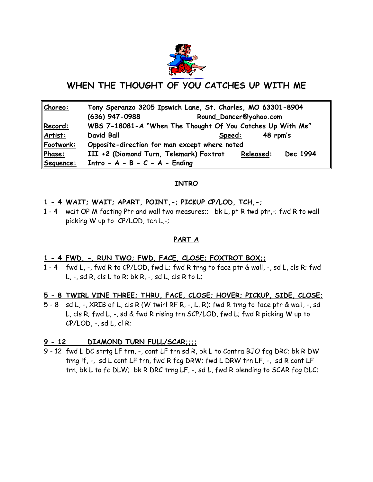

# **WHEN THE THOUGHT OF YOU CATCHES UP WITH ME**

| Choreo:   | Tony Speranzo 3205 Ipswich Lane, St. Charles, MO 63301-8904 |        |                        |          |  |
|-----------|-------------------------------------------------------------|--------|------------------------|----------|--|
|           | $(636)$ 947-0988                                            |        | Round_Dancer@yahoo.com |          |  |
| Record:   | WBS 7-18081-A "When The Thought Of You Catches Up With Me"  |        |                        |          |  |
| Artist:   | <b>David Ball</b>                                           | Speed: | 48 rpm's               |          |  |
| Footwork: | Opposite-direction for man except where noted               |        |                        |          |  |
| Phase:    | III +2 (Diamond Turn, Telemark) Foxtrot                     |        | Released:              | Dec 1994 |  |
| Sequence: | Intro - $A - B - C - A -$ Ending                            |        |                        |          |  |

# **INTRO**

### **1 - 4 WAIT; WAIT; APART, POINT,-; PICKUP CP/LOD, TCH,-;**

1 - 4 wait OP M facting Ptr and wall two measures;; bk L, pt R twd ptr,-; fwd R to wall picking W up to CP/LOD, tch L,-;

# **PART A**

### **1 - 4 FWD, -, RUN TWO; FWD, FACE, CLOSE; FOXTROT BOX;;**

1 - 4 fwd L, -, fwd R to CP/LOD, fwd L; fwd R trng to face ptr & wall, -, sd L, cls R; fwd  $L, -$ , sd R, cls L to R; bk R,  $-$ , sd L, cls R to L;

### **5 - 8 TWIRL VINE THREE; THRU, FACE, CLOSE; HOVER; PICKUP, SIDE, CLOSE;**

5 - 8 sd L, -, XRIB of L, cls R (W twirl RF R, -, L, R); fwd R trng to face ptr & wall, -, sd L, cls R; fwd L, -, sd & fwd R rising trn SCP/LOD, fwd L; fwd R picking W up to  $CP/LOD, -$ , sd  $L, cl R$ ;

# **9 - 12 DIAMOND TURN FULL/SCAR;;;;**

9 - 12 fwd L DC strtg LF trn, -, cont LF trn sd R, bk L to Contra BJO fcg DRC; bk R DW trng lf, -, sd L cont LF trn, fwd R fcg DRW; fwd L DRW trn LF, -, sd R cont LF trn, bk L to fc DLW; bk R DRC trng LF, -, sd L, fwd R blending to SCAR fcg DLC;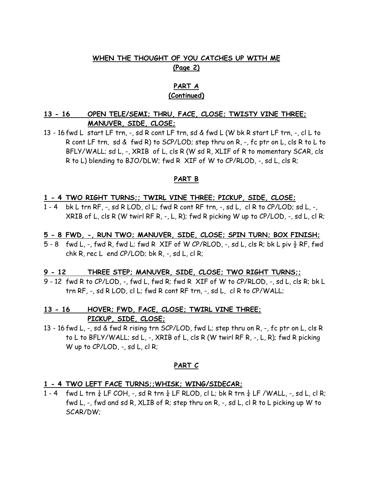# **WHEN THE THOUGHT OF YOU CATCHES UP WITH ME (Page 2)**

### **PART A (Continued)**

# **13 - 16 OPEN TELE/SEMI; THRU, FACE, CLOSE; TWISTY VINE THREE; MANUVER, SIDE, CLOSE;**

13 - 16 fwd L start LF trn, -, sd R cont LF trn, sd & fwd L (W bk R start LF trn, -, cl L to R cont LF trn, sd & fwd R) to SCP/LOD; step thru on R, -, fc ptr on L, cls R to L to BFLY/WALL; sd L, -, XRIB of L, cls R (W sd R, XLIF of R to momentary SCAR, cls R to L) blending to BJO/DLW; fwd R XIF of W to CP/RLOD, -, sd L, cls R;

### **PART B**

#### **1 - 4 TWO RIGHT TURNS;; TWIRL VINE THREE; PICKUP, SIDE, CLOSE;**

1 - 4 bk L trn RF, -, sd R LOD, cl L; fwd R cont RF trn, -, sd L, cl R to CP/LOD; sd L, -, XRIB of L, cls R (W twirl RF R,  $-$ , L, R); fwd R picking W up to CP/LOD,  $-$ , sd L, cl R;

#### **5 - 8 FWD, -, RUN TWO; MANUVER, SIDE, CLOSE; SPIN TURN; BOX FINISH;**

5 - 8 fwd L, -, fwd R, fwd L; fwd R XIF of W CP/RLOD, -, sd L, cls R; bk L piv  $\frac{1}{2}$  RF, fwd chk R, rec  $L$  end CP/LOD; bk R,  $-$ , sd L, cl R;

### **9 - 12 THREE STEP; MANUVER, SIDE, CLOSE; TWO RIGHT TURNS;;**

9 - 12 fwd R to CP/LOD, -, fwd L, fwd R; fwd R XIF of W to CP/RLOD, -, sd L, cls R; bk L trn RF, -, sd R LOD, cl L; fwd R cont RF trn, -, sd L, cl R to CP/WALL;

# **13 - 16 HOVER; FWD, FACE, CLOSE; TWIRL VINE THREE; PICKUP, SIDE, CLOSE;**

13 - 16 fwd L, -, sd & fwd R rising trn SCP/LOD, fwd L; step thru on R, -, fc ptr on L, cls R to L to BFLY/WALL; sd L, -, XRIB of L, cls R (W twirl RF R, -, L, R); fwd R picking W up to CP/LOD, -, sd L, cl R;

#### **PART C**

#### **1 - 4 TWO LEFT FACE TURNS;;WHISK; WING/SIDECAR;**

1 - 4 fwd L trn  $\frac{1}{4}$  LF COH, -, sd R trn  $\frac{1}{4}$  LF RLOD, cl L; bk R trn  $\frac{1}{4}$  LF /WALL, -, sd L, cl R; fwd L, -, fwd and sd R, XLIB of R; step thru on R, -, sd L, cl R to L picking up W to SCAR/DW;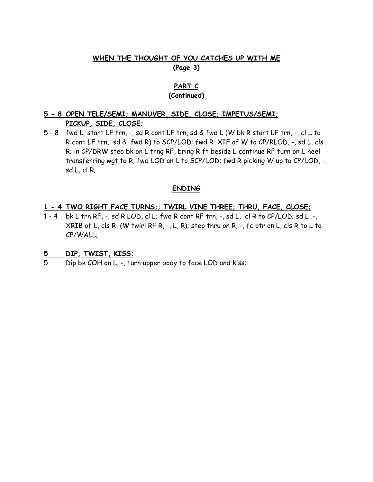# **WHEN THE THOUGHT OF YOU CATCHES UP WITH ME (Page 3)**

# **PART C (Continued)**

# **5 - 8 OPEN TELE/SEMI; MANUVER, SIDE, CLOSE; IMPETUS/SEMI; PICKUP, SIDE, CLOSE;**

5 - 8 fwd L start LF trn, -, sd R cont LF trn, sd & fwd L (W bk R start LF trn, -, cl L to R cont LF trn, sd & fwd R) to SCP/LOD; fwd R XIF of W to CP/RLOD, -, sd L, cls R; in CP/DRW steo bk on L trng RF, bring R ft beside L continue RF turn on L heel transferring wgt to R, fwd LOD on L to SCP/LOD; fwd R picking W up to CP/LOD, -, sd L, cl R;

### **ENDING**

### **1 - 4 TWO RIGHT FACE TURNS;; TWIRL VINE THREE; THRU, FACE, CLOSE;**

1 - 4 bk L trn RF, -, sd R LOD, cl L; fwd R cont RF trn, -, sd L, cl R to CP/LOD; sd L, -, XRIB of L, cls R (W twirl RF R, -, L, R); step thru on R, -, fc ptr on L, cls R to L to CP/WALL;

### **5 DIP, TWIST, KISS;**

5 Dip bk COH on L, -, turn upper body to face LOD and kiss;